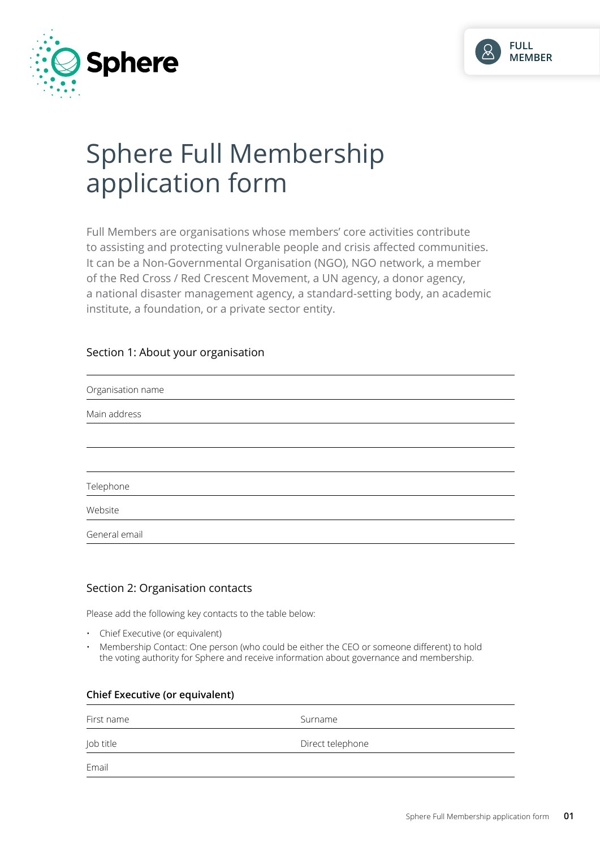



# Sphere Full Membership application form

Full Members are organisations whose members' core activities contribute to assisting and protecting vulnerable people and crisis affected communities. It can be a Non-Governmental Organisation (NGO), NGO network, a member of the Red Cross / Red Crescent Movement, a UN agency, a donor agency, a national disaster management agency, a standard-setting body, an academic institute, a foundation, or a private sector entity.

# Section 1: About your organisation

| Organisation name |  |  |  |
|-------------------|--|--|--|
| Main address      |  |  |  |
|                   |  |  |  |
|                   |  |  |  |
| Telephone         |  |  |  |
| Website           |  |  |  |
| General email     |  |  |  |
|                   |  |  |  |

## Section 2: Organisation contacts

Please add the following key contacts to the table below:

- Chief Executive (or equivalent)
- Membership Contact: One person (who could be either the CEO or someone different) to hold the voting authority for Sphere and receive information about governance and membership.

| Chief Executive (or equivalent) |                  |  |  |  |  |
|---------------------------------|------------------|--|--|--|--|
| First name                      | Surname          |  |  |  |  |
| Job title                       | Direct telephone |  |  |  |  |
| Email                           |                  |  |  |  |  |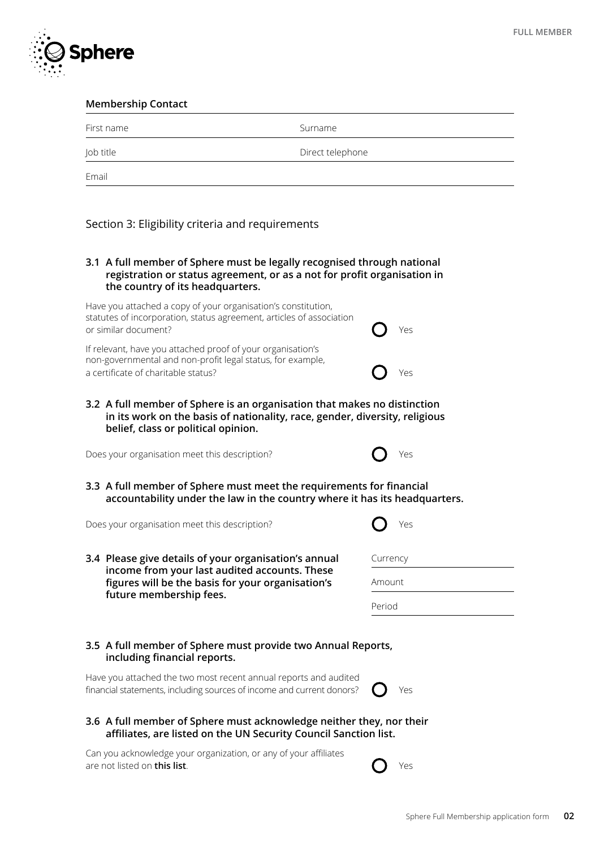

**Membership Contact**

First name Surname Surname

| Direct telephone<br>Job title                                                                                                                                                           |          |
|-----------------------------------------------------------------------------------------------------------------------------------------------------------------------------------------|----------|
| Email                                                                                                                                                                                   |          |
|                                                                                                                                                                                         |          |
| Section 3: Eligibility criteria and requirements                                                                                                                                        |          |
| 3.1 A full member of Sphere must be legally recognised through national<br>registration or status agreement, or as a not for profit organisation in<br>the country of its headquarters. |          |
| Have you attached a copy of your organisation's constitution,<br>statutes of incorporation, status agreement, articles of association<br>or similar document?                           | Yes      |
| If relevant, have you attached proof of your organisation's<br>non-governmental and non-profit legal status, for example,                                                               |          |
| a certificate of charitable status?                                                                                                                                                     | Yes      |
|                                                                                                                                                                                         | Yes      |
| Does your organisation meet this description?                                                                                                                                           |          |
| 3.3 A full member of Sphere must meet the requirements for financial<br>accountability under the law in the country where it has its headquarters.                                      |          |
| Does your organisation meet this description?                                                                                                                                           | Yes      |
| 3.4 Please give details of your organisation's annual                                                                                                                                   | Currency |
| income from your last audited accounts. These<br>figures will be the basis for your organisation's                                                                                      | Amount   |
| future membership fees.                                                                                                                                                                 | Period   |
|                                                                                                                                                                                         |          |
| 3.5 A full member of Sphere must provide two Annual Reports,<br>including financial reports.                                                                                            |          |
| Have you attached the two most recent annual reports and audited<br>financial statements, including sources of income and current donors?                                               | Yes      |
| 3.6 A full member of Sphere must acknowledge neither they, nor their<br>affiliates, are listed on the UN Security Council Sanction list.                                                |          |
| Can you acknowledge your organization, or any of your affiliates<br>are not listed on this list.                                                                                        | Yes      |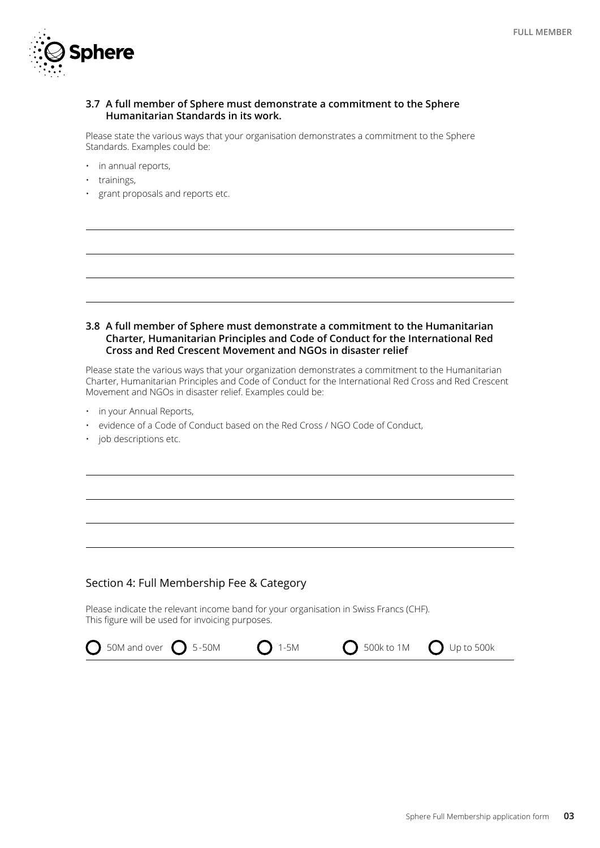

## **3.7 A full member of Sphere must demonstrate a commitment to the Sphere Humanitarian Standards in its work.**

Please state the various ways that your organisation demonstrates a commitment to the Sphere Standards. Examples could be:

- in annual reports,
- trainings,
- grant proposals and reports etc.

#### **3.8 A full member of Sphere must demonstrate a commitment to the Humanitarian Charter, Humanitarian Principles and Code of Conduct for the International Red Cross and Red Crescent Movement and NGOs in disaster relief**

Please state the various ways that your organization demonstrates a commitment to the Humanitarian Charter, Humanitarian Principles and Code of Conduct for the International Red Cross and Red Crescent Movement and NGOs in disaster relief. Examples could be:

- in your Annual Reports,
- evidence of a Code of Conduct based on the Red Cross / NGO Code of Conduct,
- job descriptions etc.

## Section 4: Full Membership Fee & Category

Please indicate the relevant income band for your organisation in Swiss Francs (CHF). This figure will be used for invoicing purposes. 

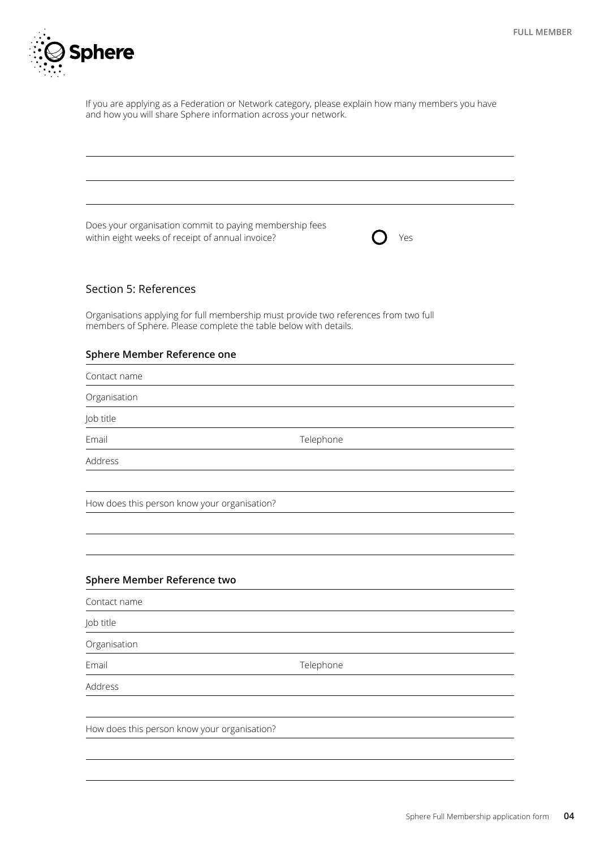

If you are applying as a Federation or Network category, please explain how many members you have and how you will share Sphere information across your network.

Does your organisation commit to paying membership fees within eight weeks of receipt of annual invoice?  $\bigcap$  Yes

#### Section 5: References

Organisations applying for full membership must provide two references from two full members of Sphere. Please complete the table below with details.

## **Sphere Member Reference one**

Contact name

Organisation

Job title

Email **Email Email Email** 

Address

How does this person know your organisation?

#### **Sphere Member Reference two**

Contact name

Job title

Organisation

Email **Email Email Email** 

Address

How does this person know your organisation?